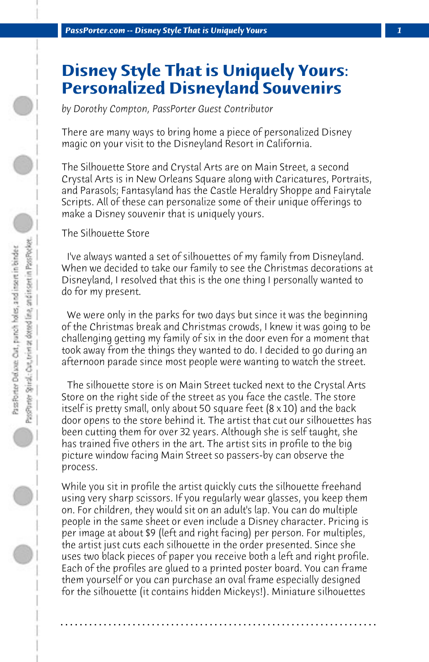## **Disney Style That is Uniquely Yours: Personalized Disneyland Souvenirs**

*by Dorothy Compton, PassPorter Guest Contributor*

There are many ways to bring home a piece of personalized Disney magic on your visit to the Disneyland Resort in California.

The Silhouette Store and Crystal Arts are on Main Street, a second Crystal Arts is in New Orleans Square along with Caricatures, Portraits, and Parasols; Fantasyland has the Castle Heraldry Shoppe and Fairytale Scripts. All of these can personalize some of their unique offerings to make a Disney souvenir that is uniquely yours.

The Silhouette Store

 I've always wanted a set of silhouettes of my family from Disneyland. When we decided to take our family to see the Christmas decorations at Disneyland, I resolved that this is the one thing I personally wanted to do for my present.

 We were only in the parks for two days but since it was the beginning of the Christmas break and Christmas crowds, I knew it was going to be challenging getting my family of six in the door even for a moment that took away from the things they wanted to do. I decided to go during an afternoon parade since most people were wanting to watch the street.

 The silhouette store is on Main Street tucked next to the Crystal Arts Store on the right side of the street as you face the castle. The store itself is pretty small, only about 50 square feet (8 x 10) and the back door opens to the store behind it. The artist that cut our silhouettes has been cutting them for over 32 years. Although she is self taught, she has trained five others in the art. The artist sits in profile to the big picture window facing Main Street so passers-by can observe the process.

While you sit in profile the artist quickly cuts the silhouette freehand using very sharp scissors. If you regularly wear glasses, you keep them on. For children, they would sit on an adult's lap. You can do multiple people in the same sheet or even include a Disney character. Pricing is per image at about \$9 (left and right facing) per person. For multiples, the artist just cuts each silhouette in the order presented. Since she uses two black pieces of paper you receive both a left and right profile. Each of the profiles are glued to a printed poster board. You can frame them yourself or you can purchase an oval frame especially designed for the silhouette (it contains hidden Mickeys!). Miniature silhouettes

**. . . . . . . . . . . . . . . . . . . . . . . . . . . . . . . . . . . . . . . . . . . . . . . . . . . . . . . . . . . . . . . . . .**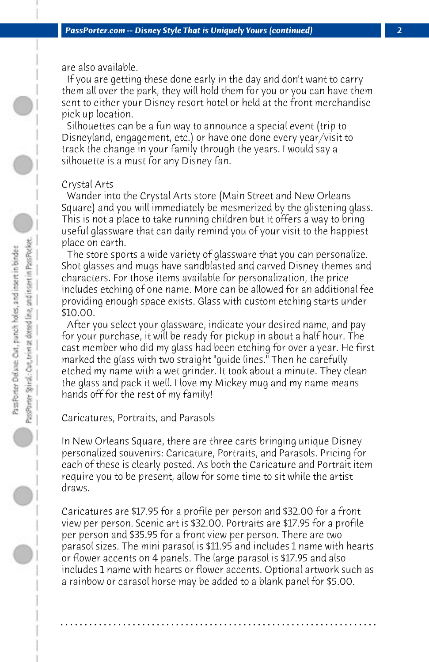are also available.

 If you are getting these done early in the day and don't want to carry them all over the park, they will hold them for you or you can have them sent to either your Disney resort hotel or held at the front merchandise pick up location.

 Silhouettes can be a fun way to announce a special event (trip to Disneyland, engagement, etc.) or have one done every year/visit to track the change in your family through the years. I would say a silhouette is a must for any Disney fan.

## Crystal Arts

 Wander into the Crystal Arts store (Main Street and New Orleans Square) and you will immediately be mesmerized by the glistening glass. This is not a place to take running children but it offers a way to bring useful glassware that can daily remind you of your visit to the happiest place on earth.

 The store sports a wide variety of glassware that you can personalize. Shot glasses and mugs have sandblasted and carved Disney themes and characters. For those items available for personalization, the price includes etching of one name. More can be allowed for an additional fee providing enough space exists. Glass with custom etching starts under \$10.00.

 After you select your glassware, indicate your desired name, and pay for your purchase, it will be ready for pickup in about a half hour. The cast member who did my glass had been etching for over a year. He first marked the glass with two straight "guide lines." Then he carefully etched my name with a wet grinder. It took about a minute. They clean the glass and pack it well. I love my Mickey mug and my name means hands off for the rest of my family!

Caricatures, Portraits, and Parasols

In New Orleans Square, there are three carts bringing unique Disney personalized souvenirs: Caricature, Portraits, and Parasols. Pricing for each of these is clearly posted. As both the Caricature and Portrait item require you to be present, allow for some time to sit while the artist draws.

Caricatures are \$17.95 for a profile per person and \$32.00 for a front view per person. Scenic art is \$32.00. Portraits are \$17.95 for a profile per person and \$35.95 for a front view per person. There are two parasol sizes. The mini parasol is \$11.95 and includes 1 name with hearts or flower accents on 4 panels. The large parasol is \$17.95 and also includes 1 name with hearts or flower accents. Optional artwork such as a rainbow or carasol horse may be added to a blank panel for \$5.00.

**. . . . . . . . . . . . . . . . . . . . . . . . . . . . . . . . . . . . . . . . . . . . . . . . . . . . . . . . . . . . . . . . . .**